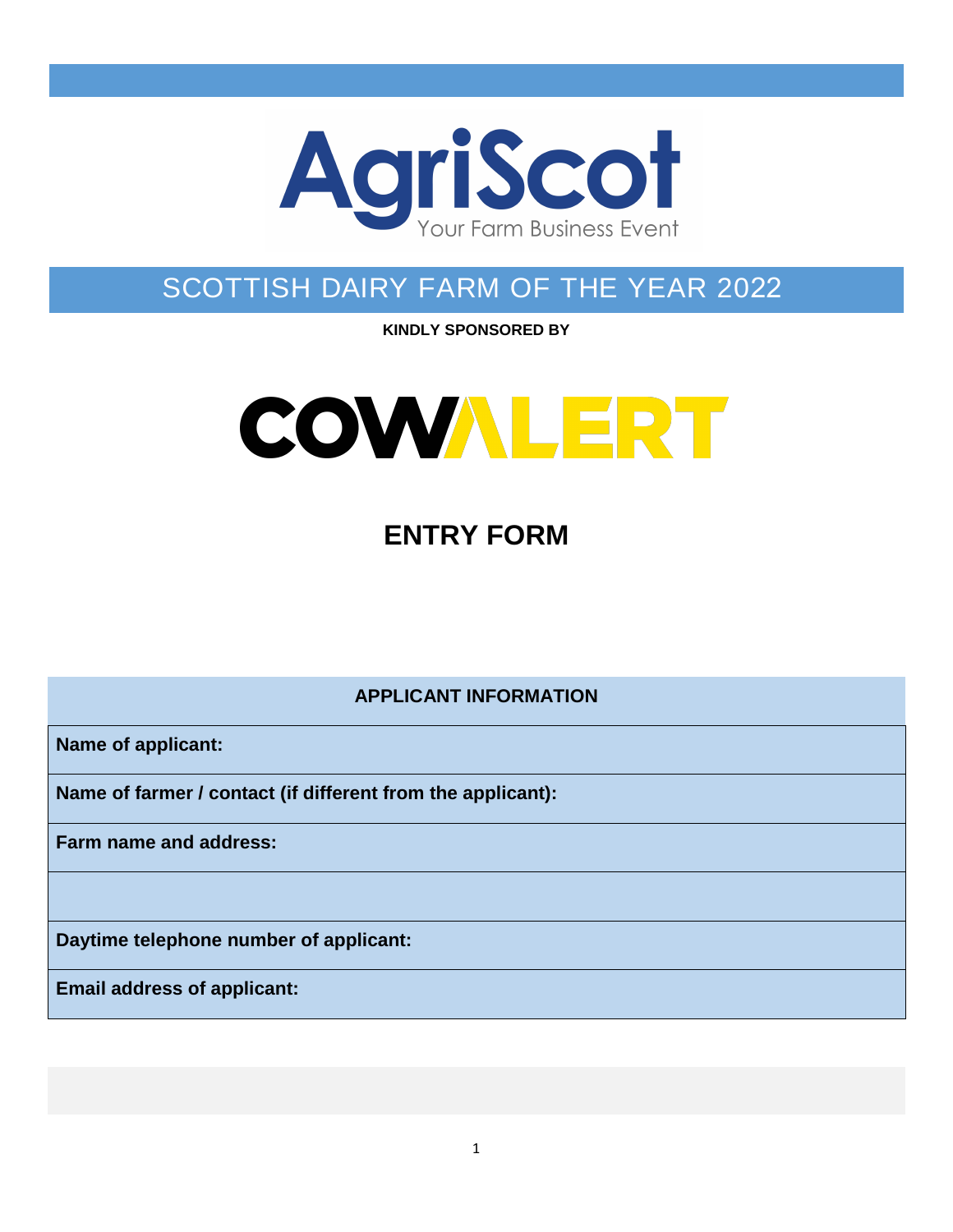

# SCOTTISH DAIRY FARM OF THE YEAR 2022

**KINDLY SPONSORED BY** 



# **ENTRY FORM**

**APPLICANT INFORMATION**

**Name of applicant:**

**Name of farmer / contact (if different from the applicant):**

**Farm name and address:**

**Daytime telephone number of applicant:**

**Email address of applicant:**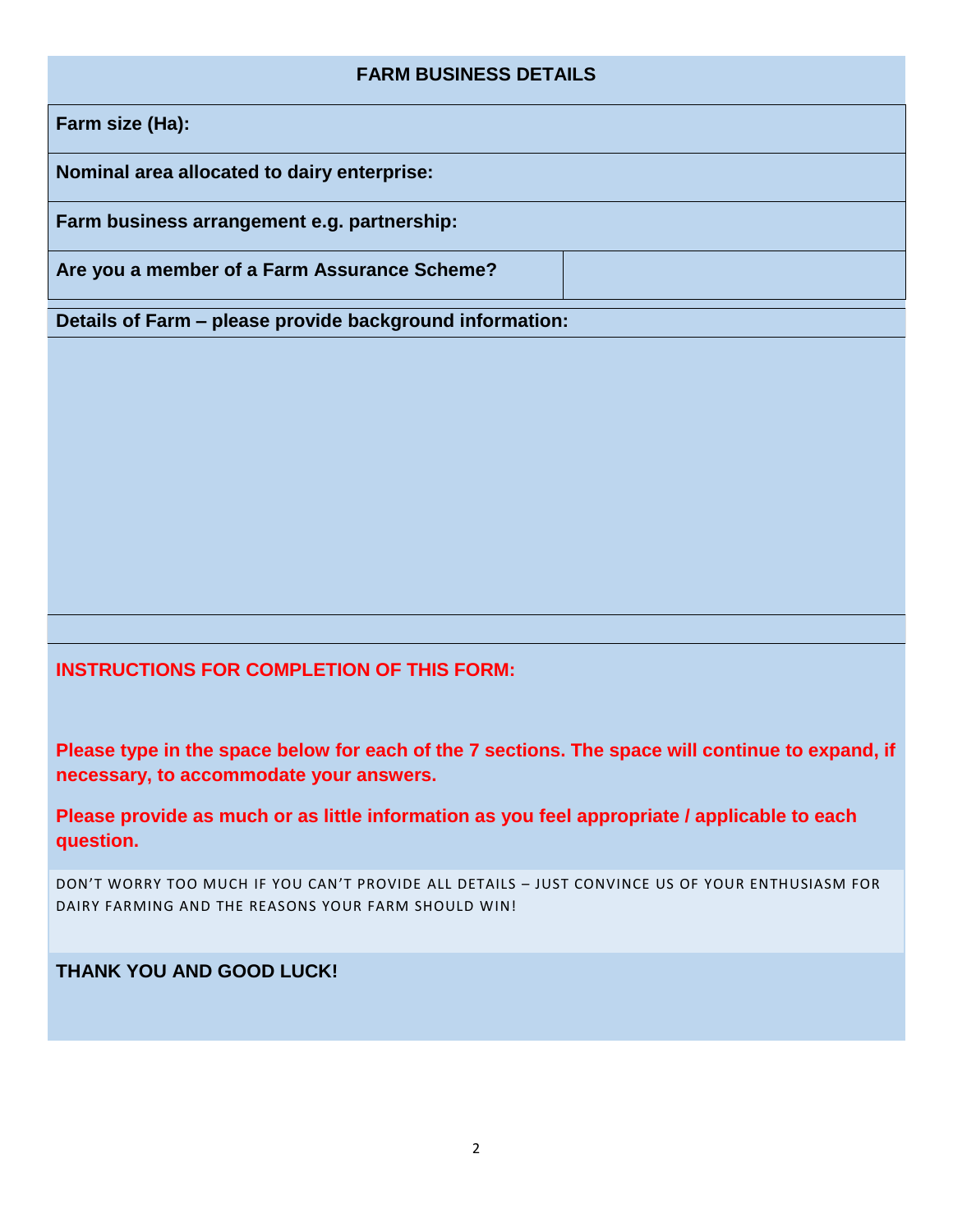#### **FARM BUSINESS DETAILS**

**Farm size (Ha):**

**Nominal area allocated to dairy enterprise:** 

**Farm business arrangement e.g. partnership:**

**Are you a member of a Farm Assurance Scheme?**

**Details of Farm – please provide background information:**

#### **INSTRUCTIONS FOR COMPLETION OF THIS FORM:**

**Please type in the space below for each of the 7 sections. The space will continue to expand, if necessary, to accommodate your answers.**

**Please provide as much or as little information as you feel appropriate / applicable to each question.**

DON'T WORRY TOO MUCH IF YOU CAN'T PROVIDE ALL DETAILS – JUST CONVINCE US OF YOUR ENTHUSIASM FOR DAIRY FARMING AND THE REASONS YOUR FARM SHOULD WIN!

**THANK YOU AND GOOD LUCK!**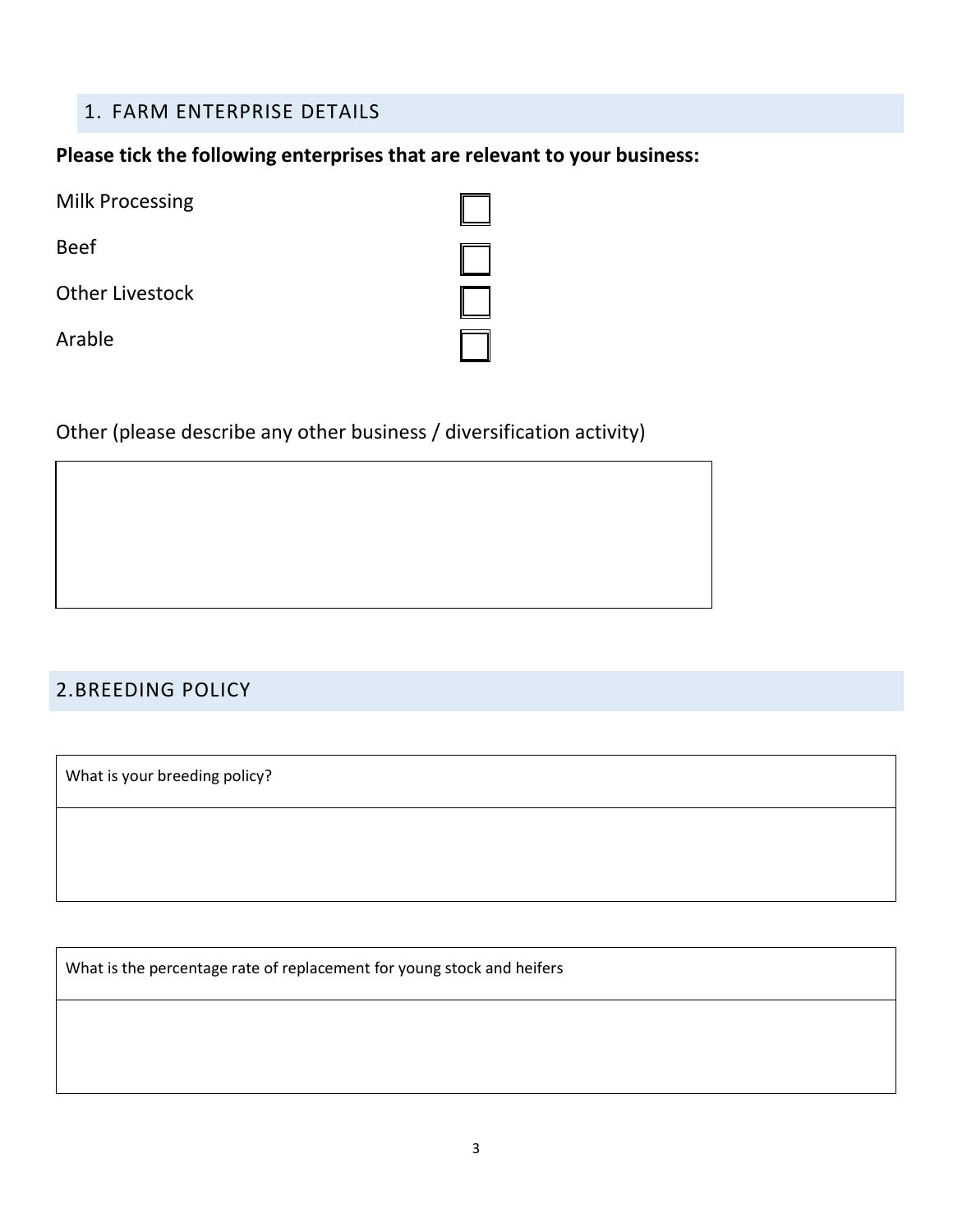### 1. FARM ENTERPRISE DETAILS

#### **Please tick the following enterprises that are relevant to your business:**

| <b>Milk Processing</b> |  |
|------------------------|--|
| <b>Beef</b>            |  |
| <b>Other Livestock</b> |  |
| Arable                 |  |

# Other (please describe any other business / diversification activity)

### 2.BREEDING POLICY

What is your breeding policy?

What is the percentage rate of replacement for young stock and heifers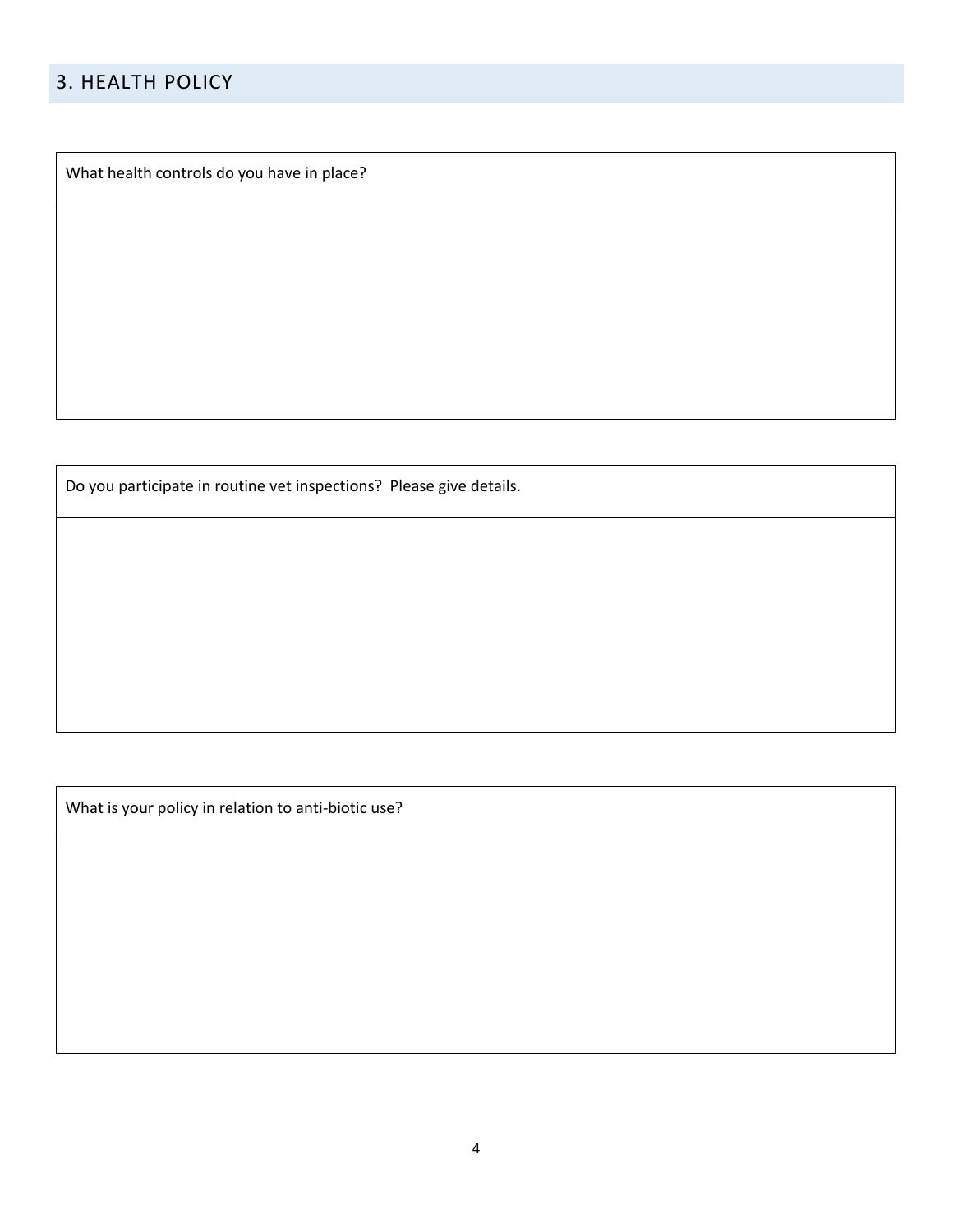## 3. HEALTH POLICY

What health controls do you have in place?

Do you participate in routine vet inspections? Please give details.

What is your policy in relation to anti-biotic use?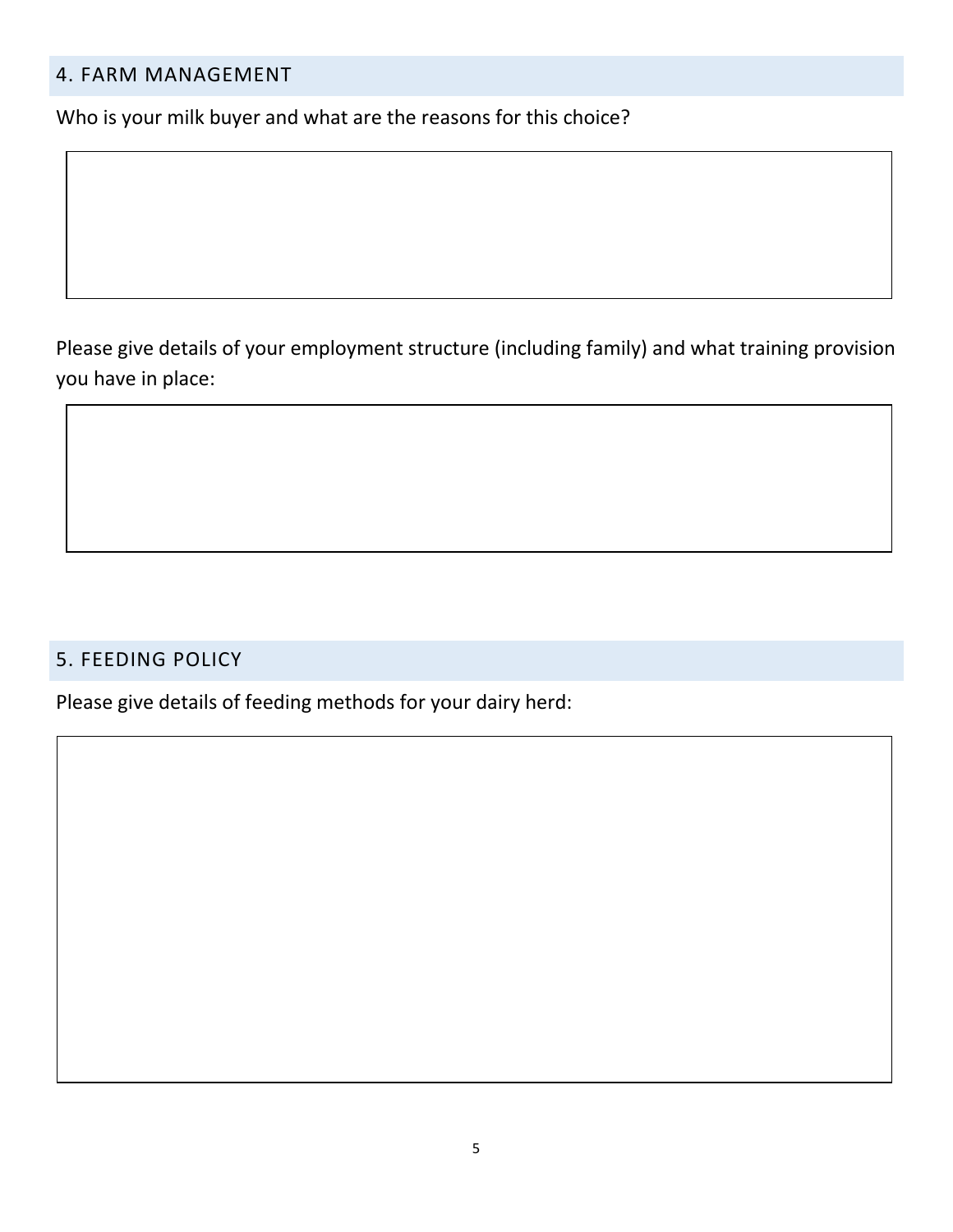### 4. FARM MANAGEMENT

Who is your milk buyer and what are the reasons for this choice?

Please give details of your employment structure (including family) and what training provision you have in place:

#### 5. FEEDING POLICY

Please give details of feeding methods for your dairy herd: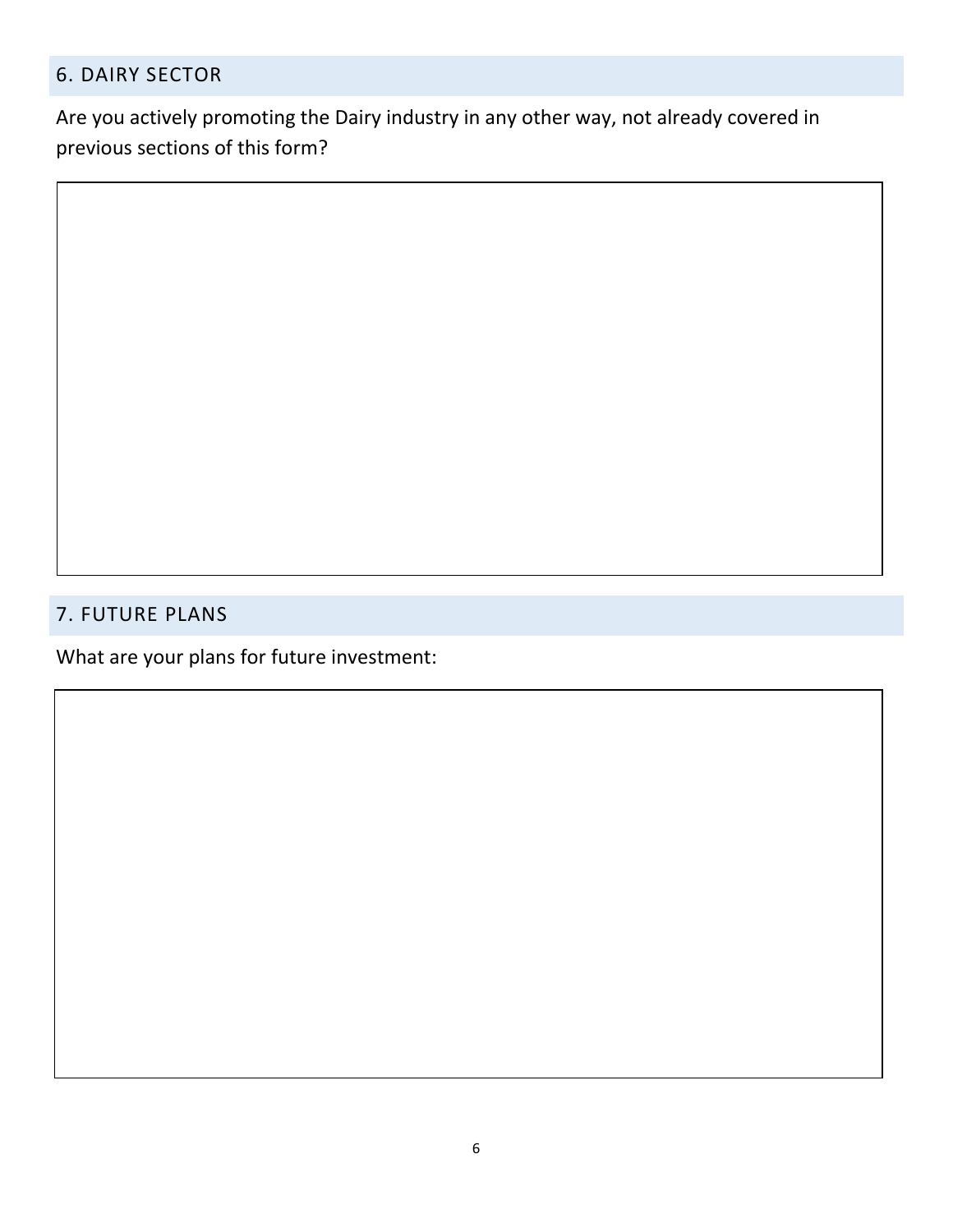## 6. DAIRY SECTOR

Are you actively promoting the Dairy industry in any other way, not already covered in previous sections of this form?

## 7. FUTURE PLANS

What are your plans for future investment: